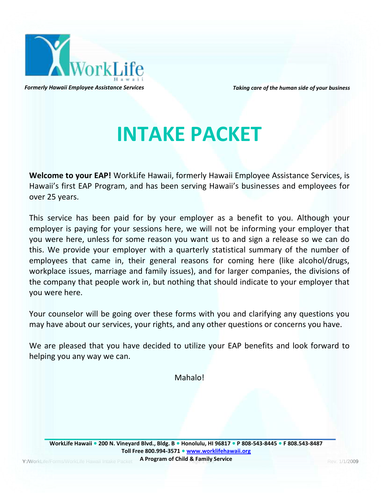

*Formerly Hawaii Employee Assistance Services*

*Taking care of the human side of your business*

# **INTAKE PACKET**

**Welcome to your EAP!** WorkLife Hawaii, formerly Hawaii Employee Assistance Services, is Hawaii's first EAP Program, and has been serving Hawaii's businesses and employees for over 25 years.

This service has been paid for by your employer as a benefit to you. Although your employer is paying for your sessions here, we will not be informing your employer that you were here, unless for some reason you want us to and sign a release so we can do this. We provide your employer with a quarterly statistical summary of the number of employees that came in, their general reasons for coming here (like alcohol/drugs, workplace issues, marriage and family issues), and for larger companies, the divisions of the company that people work in, but nothing that should indicate to your employer that you were here.

Your counselor will be going over these forms with you and clarifying any questions you may have about our services, your rights, and any other questions or concerns you have.

We are pleased that you have decided to utilize your EAP benefits and look forward to helping you any way we can.

Mahalo!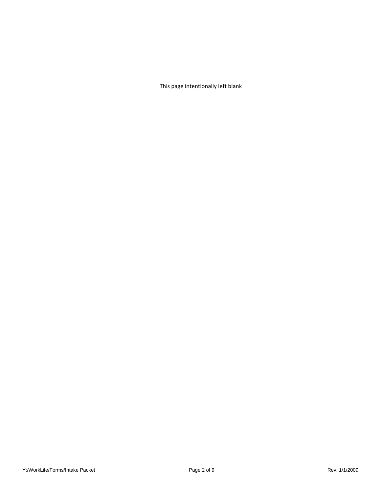This page intentionally left blank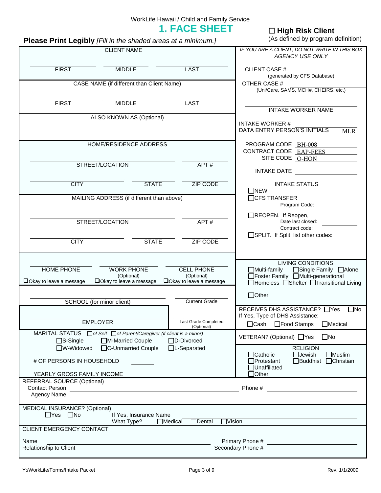### WorkLife Hawaii / Child and Family Service

### **1. FACE SHEET**

**High Risk Client** 

| <b>Please Print Legibly</b> [Fill in the shaded areas at a minimum.]     |                                               | (As defined by program definition)                                                                     |  |  |
|--------------------------------------------------------------------------|-----------------------------------------------|--------------------------------------------------------------------------------------------------------|--|--|
| <b>CLIENT NAME</b>                                                       | IF YOU ARE A CLIENT, DO NOT WRITE IN THIS BOX |                                                                                                        |  |  |
|                                                                          |                                               | <b>AGENCY USE ONLY</b>                                                                                 |  |  |
| <b>MIDDLE</b><br><b>FIRST</b>                                            | <b>LAST</b>                                   | <b>CLIENT CASE #</b>                                                                                   |  |  |
| CASE NAME (if different than Client Name)                                |                                               | (generated by CFS Database)<br>OTHER CASE #                                                            |  |  |
|                                                                          |                                               | (Uni/Care, SAMS, MCH#, CHEIRS, etc.)                                                                   |  |  |
|                                                                          |                                               |                                                                                                        |  |  |
| <b>FIRST</b><br><b>MIDDLE</b>                                            | LAST                                          | <b>INTAKE WORKER NAME</b>                                                                              |  |  |
| <b>ALSO KNOWN AS (Optional)</b>                                          |                                               |                                                                                                        |  |  |
|                                                                          |                                               | <b>INTAKE WORKER#</b><br>DATA ENTRY PERSON'S INITIALS<br><b>MLR</b>                                    |  |  |
|                                                                          |                                               |                                                                                                        |  |  |
| HOME/RESIDENCE ADDRESS                                                   |                                               | PROGRAM CODE BH-008<br>CONTRACT CODE EAP-FEES                                                          |  |  |
|                                                                          |                                               | SITE CODE O-HON                                                                                        |  |  |
| STREET/LOCATION                                                          | APT#                                          |                                                                                                        |  |  |
|                                                                          |                                               | <b>INTAKE DATE</b>                                                                                     |  |  |
| <b>CITY</b><br><b>STATE</b>                                              | ZIP CODE                                      | <b>INTAKE STATUS</b>                                                                                   |  |  |
| MAILING ADDRESS (if different than above)                                |                                               | $\Box$ NEW<br>□CFS TRANSFER                                                                            |  |  |
|                                                                          |                                               | Program Code:                                                                                          |  |  |
|                                                                          |                                               | REOPEN. If Reopen,                                                                                     |  |  |
| STREET/LOCATION                                                          | APT#                                          | Date last closed:                                                                                      |  |  |
|                                                                          |                                               | Contract code:<br>□SPLIT. If Split, list other codes:                                                  |  |  |
| <b>CITY</b><br><b>STATE</b>                                              | ZIP CODE                                      |                                                                                                        |  |  |
|                                                                          |                                               |                                                                                                        |  |  |
|                                                                          |                                               | LIVING CONDITIONS                                                                                      |  |  |
| <b>WORK PHONE</b><br>HOME PHONE<br>(Optional)                            | <b>CELL PHONE</b><br>(Optional)               | □Single Family □Alone<br>□Multi-family                                                                 |  |  |
| Okay to leave a message<br>Okay to leave a message                       | Okay to leave a message                       | □Foster Family □Multi-generational<br>□Homeless □Shelter □Transitional Living                          |  |  |
|                                                                          |                                               | $\Box$ Other                                                                                           |  |  |
| SCHOOL (for minor client)                                                | <b>Current Grade</b>                          |                                                                                                        |  |  |
|                                                                          |                                               | RECEIVES DHS ASSISTANCE? □ Yes<br>$\Box$ No                                                            |  |  |
| <b>EMPLOYER</b>                                                          | Last Grade Completed                          | If Yes, Type of DHS Assistance:<br>$\Box$ Cash<br>□Food Stamps<br>$\Box$ Medical                       |  |  |
| MARITAL STATUS <i>of Self Of Parent/Caregiver (if client is a minor)</i> | (Optional)                                    |                                                                                                        |  |  |
| □M-Married Couple<br>$\square$ S-Single                                  | □D-Divorced                                   | VETERAN? (Optional) □ Yes<br>$\square$ No                                                              |  |  |
| □C-Unmarried Couple<br>$\Box$ W-Widowed                                  | □L-Separated                                  | <b>RELIGION</b>                                                                                        |  |  |
| # OF PERSONS IN HOUSEHOLD                                                |                                               | $\Box$ Muslim<br>$\Box$ Catholic<br>$\Box$ Jewish<br>Protestant<br>$\Box$ Buddhist<br>$\Box$ Christian |  |  |
|                                                                          |                                               | □Unaffiliated                                                                                          |  |  |
| YEARLY GROSS FAMILY INCOME<br>REFERRAL SOURCE (Optional)                 |                                               | $\Box$ Other                                                                                           |  |  |
| <b>Contact Person</b>                                                    |                                               | Phone #                                                                                                |  |  |
|                                                                          |                                               |                                                                                                        |  |  |
| MEDICAL INSURANCE? (Optional)                                            |                                               |                                                                                                        |  |  |
| $\Box$ Yes $\Box$ No<br>If Yes, Insurance Name                           | $\Box$ Vision<br>Dental<br>Medical            |                                                                                                        |  |  |
| What Type?<br><b>CLIENT EMERGENCY CONTACT</b>                            |                                               |                                                                                                        |  |  |
| Name                                                                     |                                               |                                                                                                        |  |  |
| Relationship to Client                                                   |                                               | Secondary Phone #                                                                                      |  |  |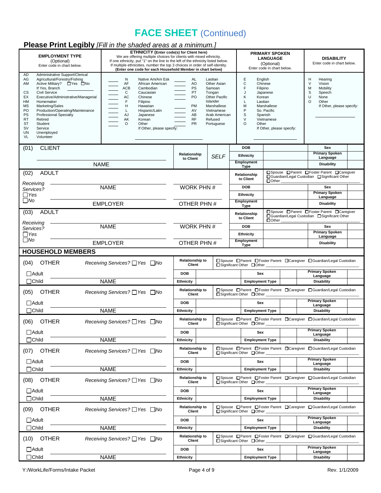# **FACE SHEET** (Continued)

### **Please Print Legibly** *[Fill in the shaded areas at a minimum.]*

| <b>EMPLOYMENT TYPE</b><br>(Optional)<br>Enter code in chart below.                                                                                                                                                                                                                                                                                                                                                                                         |                                                                                                                                                                                                                                                           | <b>ETHNICITY</b> (Enter code(s) for Client here)<br>We are offering multiple choices for clients with mixed ethnicity.<br>If one ethnicity, put "1" on the line to the left of the ethnicity listed below.<br>If multiple ethnicities, number the top 3 choices in order of self-identity.<br>(Enter one code for each Household Member in chart below) |  |                                                                                                                                                |                                                                                               | <b>PRIMARY SPOKEN</b><br>LANGUAGE<br>(Optional)<br>Enter code in chart below.                                      | <b>DISABILITY</b>                                                                                                | Enter code in chart below. |  |
|------------------------------------------------------------------------------------------------------------------------------------------------------------------------------------------------------------------------------------------------------------------------------------------------------------------------------------------------------------------------------------------------------------------------------------------------------------|-----------------------------------------------------------------------------------------------------------------------------------------------------------------------------------------------------------------------------------------------------------|---------------------------------------------------------------------------------------------------------------------------------------------------------------------------------------------------------------------------------------------------------------------------------------------------------------------------------------------------------|--|------------------------------------------------------------------------------------------------------------------------------------------------|-----------------------------------------------------------------------------------------------|--------------------------------------------------------------------------------------------------------------------|------------------------------------------------------------------------------------------------------------------|----------------------------|--|
| <b>AD</b><br>Administrative Support/Clerical<br>AG<br>Agricultural/Forestry/Fishing<br>AM<br>Active Military? □ Yes □ No<br>If Yes, Branch<br>CS<br>Civil Service<br>EX<br>Executive/Administrative/Managerial<br>HM<br>Homemaker<br><b>MS</b><br>Marketing/Sales<br>PO<br>Production/Operating/Maintenance<br>PS<br><b>Professional Specialty</b><br><b>RT</b><br>Retired<br>ST<br>Student<br>SV<br>Service<br><b>UN</b><br>Unemployed<br>VL<br>Volunteer | N<br>Native Am/Am Esk<br>AF<br>African American<br><b>ACB</b><br>Cambodian<br>C<br>Caucasian<br>AC<br>Chinese<br>F<br>Filipino<br>H<br>Hawaiian<br>L<br>Hispanic/Latin<br>AJ<br>Japanese<br>AK<br>Korean<br>$\circ$<br>Other<br>If Other, please specify: | AL<br>AO<br>PS<br>PT<br>PO<br>PM<br>AV<br>AB<br><b>RF</b><br>PR                                                                                                                                                                                                                                                                                         |  | Laotian<br>Other Asian<br>Samoan<br>Tongan<br>Other Pacific<br>Islander<br>Marshallese<br>Vietnamese<br>Arab American<br>Refused<br>Portuguese | Е<br>С<br>F<br>Filipino<br>J<br>Κ<br>Korean<br>L<br>Laotian<br>M<br>P<br>S<br>V<br>O<br>Other | English<br>Chinese<br>Japanese<br>Marshallese<br>So. Pacific<br>Spanish<br>Vietnamese<br>If Other, please specify: | н<br>Hearing<br>$\vee$<br>Vision<br>М<br>Mobility<br>S<br>Speech<br>U<br>None<br>$\circ$<br>Other                | If Other, please specify:  |  |
| <b>CLIENT</b><br>(01)                                                                                                                                                                                                                                                                                                                                                                                                                                      |                                                                                                                                                                                                                                                           |                                                                                                                                                                                                                                                                                                                                                         |  |                                                                                                                                                | <b>DOB</b>                                                                                    |                                                                                                                    | <b>Sex</b><br><b>Primary Spoken</b>                                                                              |                            |  |
|                                                                                                                                                                                                                                                                                                                                                                                                                                                            |                                                                                                                                                                                                                                                           | Relationship<br>to Client                                                                                                                                                                                                                                                                                                                               |  | <b>SELF</b>                                                                                                                                    | <b>Ethnicity</b><br>Employment                                                                |                                                                                                                    | Language                                                                                                         |                            |  |
|                                                                                                                                                                                                                                                                                                                                                                                                                                                            | <b>NAME</b>                                                                                                                                                                                                                                               |                                                                                                                                                                                                                                                                                                                                                         |  |                                                                                                                                                | Type                                                                                          |                                                                                                                    | <b>Disability</b>                                                                                                |                            |  |
| <b>ADULT</b><br>(02)<br>Receiving                                                                                                                                                                                                                                                                                                                                                                                                                          |                                                                                                                                                                                                                                                           |                                                                                                                                                                                                                                                                                                                                                         |  |                                                                                                                                                | Relationship<br>to Client                                                                     | $\Box$ Other $\Box$                                                                                                | □Spouse □Parent □Foster Parent □Caregiver<br>□ Guardian/Legal Custodian □ Significant Other                      |                            |  |
| Services?                                                                                                                                                                                                                                                                                                                                                                                                                                                  | <b>NAME</b>                                                                                                                                                                                                                                               | <b>WORK PHN#</b>                                                                                                                                                                                                                                                                                                                                        |  |                                                                                                                                                | <b>DOB</b>                                                                                    |                                                                                                                    | <b>Sex</b><br><b>Primary Spoken</b>                                                                              |                            |  |
| $\Box$ Yes<br>$\square$ No                                                                                                                                                                                                                                                                                                                                                                                                                                 |                                                                                                                                                                                                                                                           |                                                                                                                                                                                                                                                                                                                                                         |  |                                                                                                                                                | <b>Ethnicity</b><br>Employment                                                                |                                                                                                                    | Language                                                                                                         |                            |  |
| <b>ADULT</b><br>(03)                                                                                                                                                                                                                                                                                                                                                                                                                                       | <b>EMPLOYER</b>                                                                                                                                                                                                                                           | OTHER PHN #                                                                                                                                                                                                                                                                                                                                             |  |                                                                                                                                                | <b>Type</b><br>Relationship                                                                   |                                                                                                                    | <b>Disability</b><br>□Spouse □Parent □Foster Parent □Caregiver<br>□ Guardian/Legal Custodian □ Significant Other |                            |  |
| Receiving                                                                                                                                                                                                                                                                                                                                                                                                                                                  |                                                                                                                                                                                                                                                           |                                                                                                                                                                                                                                                                                                                                                         |  |                                                                                                                                                | to Client<br><b>DOB</b>                                                                       | $\Box$ Other                                                                                                       |                                                                                                                  |                            |  |
| Services?<br>$\Box$ Yes                                                                                                                                                                                                                                                                                                                                                                                                                                    | <b>NAME</b>                                                                                                                                                                                                                                               |                                                                                                                                                                                                                                                                                                                                                         |  | WORK PHN #                                                                                                                                     |                                                                                               |                                                                                                                    | Sex<br><b>Primary Spoken</b>                                                                                     |                            |  |
| $\square$ No                                                                                                                                                                                                                                                                                                                                                                                                                                               | <b>EMPLOYER</b>                                                                                                                                                                                                                                           | OTHER PHN #                                                                                                                                                                                                                                                                                                                                             |  |                                                                                                                                                | <b>Ethnicity</b><br>Employment                                                                |                                                                                                                    | Language<br><b>Disability</b>                                                                                    |                            |  |
| <b>HOUSEHOLD MEMBERS</b>                                                                                                                                                                                                                                                                                                                                                                                                                                   |                                                                                                                                                                                                                                                           |                                                                                                                                                                                                                                                                                                                                                         |  |                                                                                                                                                | <b>Type</b>                                                                                   |                                                                                                                    |                                                                                                                  |                            |  |
| □Spouse □ Parent □ Foster Parent □ Caregiver □ Guardian/Legal Custodian<br><b>Relationship to</b><br>(04)<br><b>OTHER</b><br>Receiving Services? □ Yes □ No<br>Client<br>□Significant Other □Other                                                                                                                                                                                                                                                         |                                                                                                                                                                                                                                                           |                                                                                                                                                                                                                                                                                                                                                         |  |                                                                                                                                                |                                                                                               |                                                                                                                    |                                                                                                                  |                            |  |
| $\Box$ Adult                                                                                                                                                                                                                                                                                                                                                                                                                                               |                                                                                                                                                                                                                                                           | <b>DOB</b>                                                                                                                                                                                                                                                                                                                                              |  |                                                                                                                                                | Sex                                                                                           |                                                                                                                    | <b>Primary Spoken</b><br>Language                                                                                |                            |  |
| $\Box$ Child                                                                                                                                                                                                                                                                                                                                                                                                                                               | <b>NAME</b>                                                                                                                                                                                                                                               | Ethnicity                                                                                                                                                                                                                                                                                                                                               |  |                                                                                                                                                | <b>Employment Type</b>                                                                        |                                                                                                                    | <b>Disability</b>                                                                                                |                            |  |
| (05)<br><b>OTHER</b>                                                                                                                                                                                                                                                                                                                                                                                                                                       | Receiving Services? □ Yes □ No                                                                                                                                                                                                                            | <b>Relationship to</b><br>Client                                                                                                                                                                                                                                                                                                                        |  |                                                                                                                                                | □Significant Other □Other                                                                     |                                                                                                                    | □Spouse □Parent □Foster Parent □Caregiver □Guardian/Legal Custodian                                              |                            |  |
| $\Box$ Adult                                                                                                                                                                                                                                                                                                                                                                                                                                               |                                                                                                                                                                                                                                                           | <b>DOB</b>                                                                                                                                                                                                                                                                                                                                              |  |                                                                                                                                                | Sex                                                                                           |                                                                                                                    | <b>Primary Spoken</b><br>Language                                                                                |                            |  |
| $\Box$ Child                                                                                                                                                                                                                                                                                                                                                                                                                                               | <b>NAME</b>                                                                                                                                                                                                                                               | <b>Ethnicity</b>                                                                                                                                                                                                                                                                                                                                        |  |                                                                                                                                                | <b>Employment Type</b>                                                                        |                                                                                                                    | <b>Disability</b>                                                                                                |                            |  |
| (06)<br><b>OTHER</b>                                                                                                                                                                                                                                                                                                                                                                                                                                       | Receiving Services? □ Yes □ No                                                                                                                                                                                                                            | <b>Relationship to</b><br>Client                                                                                                                                                                                                                                                                                                                        |  |                                                                                                                                                |                                                                                               |                                                                                                                    | □Spouse □Parent □Foster Parent □Caregiver □Guardian/Legal Custodian                                              |                            |  |
| <b>∩Adult</b>                                                                                                                                                                                                                                                                                                                                                                                                                                              |                                                                                                                                                                                                                                                           | <b>DOB</b>                                                                                                                                                                                                                                                                                                                                              |  |                                                                                                                                                | Sex                                                                                           |                                                                                                                    | <b>Primary Spoken</b><br>Language                                                                                |                            |  |
| $\Box$ Child                                                                                                                                                                                                                                                                                                                                                                                                                                               | <b>NAME</b>                                                                                                                                                                                                                                               | <b>Ethnicity</b><br><b>Relationship to</b>                                                                                                                                                                                                                                                                                                              |  |                                                                                                                                                | <b>Employment Type</b>                                                                        |                                                                                                                    | <b>Disability</b><br>□Spouse □Parent □Foster Parent □Caregiver □Guardian/Legal Custodian                         |                            |  |
| <b>OTHER</b><br>(07)                                                                                                                                                                                                                                                                                                                                                                                                                                       | Receiving Services? □ Yes □ No                                                                                                                                                                                                                            | Client                                                                                                                                                                                                                                                                                                                                                  |  |                                                                                                                                                | □Significant Other □Other                                                                     |                                                                                                                    | <b>Primary Spoken</b>                                                                                            |                            |  |
| $\Box$ Adult<br>$\Box$ Child                                                                                                                                                                                                                                                                                                                                                                                                                               | <b>NAME</b>                                                                                                                                                                                                                                               | <b>DOB</b><br><b>Ethnicity</b>                                                                                                                                                                                                                                                                                                                          |  |                                                                                                                                                | Sex<br><b>Employment Type</b>                                                                 |                                                                                                                    | Language<br>Disability                                                                                           |                            |  |
| <b>OTHER</b><br>(08)                                                                                                                                                                                                                                                                                                                                                                                                                                       | Receiving Services? □ Yes □ No                                                                                                                                                                                                                            | <b>Relationship to</b><br>Client                                                                                                                                                                                                                                                                                                                        |  |                                                                                                                                                | □Significant Other □Other                                                                     |                                                                                                                    | □Spouse □Parent □Foster Parent □Caregiver □Guardian/Legal Custodian                                              |                            |  |
| $\Box$ Adult                                                                                                                                                                                                                                                                                                                                                                                                                                               |                                                                                                                                                                                                                                                           | <b>DOB</b>                                                                                                                                                                                                                                                                                                                                              |  |                                                                                                                                                | Sex                                                                                           |                                                                                                                    | <b>Primary Spoken</b><br>Language                                                                                |                            |  |
| $\Box$ Child                                                                                                                                                                                                                                                                                                                                                                                                                                               | <b>NAME</b>                                                                                                                                                                                                                                               | <b>Ethnicity</b>                                                                                                                                                                                                                                                                                                                                        |  |                                                                                                                                                | <b>Employment Type</b>                                                                        |                                                                                                                    | <b>Disability</b>                                                                                                |                            |  |
| <b>OTHER</b><br>(09)                                                                                                                                                                                                                                                                                                                                                                                                                                       | Receiving Services? □ Yes □ No                                                                                                                                                                                                                            | <b>Relationship to</b><br>Client                                                                                                                                                                                                                                                                                                                        |  |                                                                                                                                                | □Significant Other □Other                                                                     |                                                                                                                    | □Spouse □Parent □Foster Parent □Caregiver □Guardian/Legal Custodian                                              |                            |  |
| $\Box$ Adult                                                                                                                                                                                                                                                                                                                                                                                                                                               |                                                                                                                                                                                                                                                           | <b>DOB</b>                                                                                                                                                                                                                                                                                                                                              |  |                                                                                                                                                | Sex                                                                                           |                                                                                                                    | <b>Primary Spoken</b><br>Language                                                                                |                            |  |
| $\Box$ Child                                                                                                                                                                                                                                                                                                                                                                                                                                               | <b>NAME</b>                                                                                                                                                                                                                                               | Ethnicity                                                                                                                                                                                                                                                                                                                                               |  |                                                                                                                                                | <b>Employment Type</b>                                                                        |                                                                                                                    | <b>Disability</b>                                                                                                |                            |  |
| (10)<br><b>OTHER</b>                                                                                                                                                                                                                                                                                                                                                                                                                                       | Receiving Services? □ Yes □ No                                                                                                                                                                                                                            | <b>Relationship to</b><br>Client                                                                                                                                                                                                                                                                                                                        |  |                                                                                                                                                | □Significant Other □Other                                                                     |                                                                                                                    | □Spouse □Parent □Foster Parent □Caregiver □Guardian/Legal Custodian                                              |                            |  |
| $\Box$ Adult                                                                                                                                                                                                                                                                                                                                                                                                                                               |                                                                                                                                                                                                                                                           | <b>DOB</b>                                                                                                                                                                                                                                                                                                                                              |  |                                                                                                                                                | Sex                                                                                           |                                                                                                                    | <b>Primary Spoken</b><br>Language                                                                                |                            |  |
| $\Box$ Child                                                                                                                                                                                                                                                                                                                                                                                                                                               | <b>NAME</b>                                                                                                                                                                                                                                               | <b>Ethnicity</b>                                                                                                                                                                                                                                                                                                                                        |  |                                                                                                                                                | <b>Employment Type</b>                                                                        |                                                                                                                    | <b>Disability</b>                                                                                                |                            |  |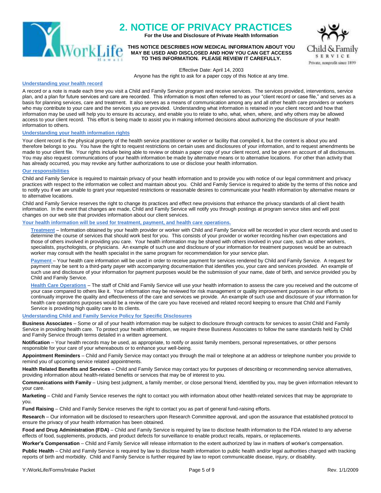

### **2. NOTICE OF PRIVACY PRACTICES**

**For the Use and Disclosure of Private Health Information**

#### **THIS NOTICE DESCRIBES HOW MEDICAL INFORMATION ABOUT YOU MAY BE USED AND DISCLOSED AND HOW YOU CAN GET ACCESS TO THIS INFORMATION. PLEASE REVIEW IT CAREFULLY.**



Effective Date: April 14, 2003

Anyone has the right to ask for a paper copy of this Notice at any time.

#### **Understanding your health record**

A record or a note is made each time you visit a Child and Family Service program and receive services. The services provided, interventions, service plan, and a plan for future services and care are recorded. This information is most often referred to as your "client record or case file," and serves as a basis for planning services, care and treatment. It also serves as a means of communication among any and all other health care providers or workers who may contribute to your care and the services you are provided. Understanding what information is retained in your client record and how that information may be used will help you to ensure its accuracy, and enable you to relate to who, what, when, where, and why others may be allowed access to your client record. This effort is being made to assist you in making informed decisions about authorizing the disclosure of your health information to others.

#### **Understanding your health information rights**

Your client record is the physical property of the health service practitioner or worker or facility that compiled it, but the content is about you and therefore belongs to you. You have the right to request restrictions on certain uses and disclosures of your information, and to request amendments be made to your client file. Your rights include being able to review or obtain a paper copy of your client record, and be given an account of all disclosures. You may also request communications of your health information be made by alternative means or to alternative locations. For other than activity that has already occurred, you may revoke any further authorizations to use or disclose your health information.

#### **Our responsibilities**

Child and Family Service is required to maintain privacy of your health information and to provide you with notice of our legal commitment and privacy practices with respect to the information we collect and maintain about you. Child and Family Service is required to abide by the terms of this notice and to notify you if we are unable to grant your requested restrictions or reasonable desires to communicate your health information by alternative means or to alternative locations.

Child and Family Service reserves the right to change its practices and effect new provisions that enhance the privacy standards of all client health information. In the event that changes are made, Child and Family Service will notify you through postings at program service sites and will post changes on our web site that provides information about our client services.

#### **Your health information will be used for treatment, payment, and health care operations.**

**Treatment** – Information obtained by your health provider or worker with Child and Family Service will be recorded in your client records and used to determine the course of services that should work best for you. This consists of your provider or worker recording his/her own expectations and those of others involved in providing you care. Your health information may be shared with others involved in your care, such as other workers, specialists, psychologists, or physicians. An example of such use and disclosure of your information for treatment purposes would be an outreach worker may consult with the health specialist in the same program for recommendation for your service plan.

**Payment** – Your health care information will be used in order to receive payment for services rendered by Child and Family Service. A request for payment may be sent to a third-party payer with accompanying documentation that identifies you, your care and services provided. An example of such use and disclosure of your information for payment purposes would be the submission of your name, date of birth, and service provided you by Child and Family Service.

**Health Care Operations** – The staff of Child and Family Service will use your health information to assess the care you received and the outcome of your case compared to others like it. Your information may be reviewed for risk management or quality improvement purposes in our efforts to continually improve the quality and effectiveness of the care and services we provide. An example of such use and disclosure of your information for health care operations purposes would be a review of the care you have received and related record keeping to ensure that Child and Family Service is providing high quality care to its clients.

#### **Understanding Child and Family Service Policy for Specific Disclosures**

**Business Associates** – Some or all of your health information may be subject to disclosure through contracts for services to assist Child and Family Service in providing health care. To protect your health information, we require these Business Associates to follow the same standards held by Child and Family Service through terms detailed in a written agreement.

**Notification** – Your health records may be used, as appropriate, to notify or assist family members, personal representatives, or other persons responsible for your care of your whereabouts or to enhance your well-being.

**Appointment Reminders** – Child and Family Service may contact you through the mail or telephone at an address or telephone number you provide to remind you of upcoming service related appointments.

**Health Related Benefits and Services** – Child and Family Service may contact you for purposes of describing or recommending service alternatives, providing information about health-related benefits or services that may be of interest to you.

**Communications with Family** – Using best judgment, a family member, or close personal friend, identified by you, may be given information relevant to your care.

**Marketing** – Child and Family Service reserves the right to contact you with information about other health-related services that may be appropriate to you.

**Fund Raising** – Child and Family Service reserves the right to contact you as part of general fund-raising efforts.

**Research** – Our information will be disclosed to researchers upon Research Committee approval, and upon the assurance that established protocol to ensure the privacy of your health information has been obtained.

**Food and Drug Administration (FDA)** – Child and Family Service is required by law to disclose health information to the FDA related to any adverse effects of food, supplements, products, and product defects for surveillance to enable product recalls, repairs, or replacements.

**Worker's Compensation** – Child and Family Service will release information to the extent authorized by law in matters of worker's compensation.

Public Health – Child and Family Service is required by law to disclose health information to public health and/or legal authorities charged with tracking reports of birth and morbidity. Child and Family Service is further required by law to report communicable disease, injury, or disability.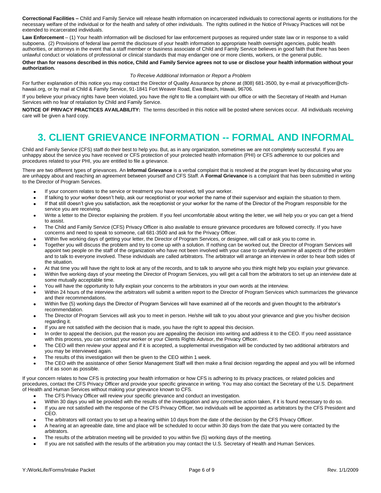**Correctional Facilities –** Child and Family Service will release health information on incarcerated individuals to correctional agents or institutions for the necessary welfare of the individual or for the health and safety of other individuals. The rights outlined in the Notice of Privacy Practices will not be extended to incarcerated individuals.

**Law Enforcement** – (1) Your health information will be disclosed for law enforcement purposes as required under state law or in response to a valid subpoena. (2) Provisions of federal law permit the disclosure of your health information to appropriate health oversight agencies, public health authorities, or attorneys in the event that a staff member or business associate of Child and Family Service believes in good faith that there has been unlawful conduct or violations of professional or clinical standards that may endanger one or more clients, workers, or the general public.

#### **Other than for reasons described in this notice, Child and Family Service agrees not to use or disclose your health information without your authorization.**

#### *To Receive Additional Information or Report a Problem*

For further explanation of this notice you may contact the Director of Quality Assurance by phone at (808) 681-3500, by e-mail at privacyofficer@cfshawaii.org, or by mail at Child & Family Service, 91-1841 Fort Weaver Road, Ewa Beach, Hawaii, 96706.

If you believe your privacy rights have been violated, you have the right to file a complaint with our office or with the Secretary of Health and Human Services with no fear of retaliation by Child and Family Service.

**NOTICE OF PRIVACY PRACTICES AVAILABILITY:** The terms described in this notice will be posted where services occur. All individuals receiving care will be given a hard copy.

### **3. CLIENT GRIEVANCE INFORMATION -- FORMAL AND INFORMAL**

Child and Family Service (CFS) staff do their best to help you. But, as in any organization, sometimes we are not completely successful. If you are unhappy about the service you have received or CFS protection of your protected health information (PHI) or CFS adherence to our policies and procedures related to your PHI, you are entitled to file a grievance.

There are two different types of grievances. An **Informal Grievance** is a verbal complaint that is resolved at the program level by discussing what you are unhappy about and reaching an agreement between yourself and CFS Staff. A **Formal Grievance** is a complaint that has been submitted in writing to the Director of Program Services.

- If your concern relates to the service or treatment you have received, tell your worker.
- If talking to your worker doesn't help, ask our receptionist or your worker the name of their supervisor and explain the situation to them.
- If that still doesn't give you satisfaction, ask the receptionist or your worker for the name of the Director of the Program responsible for the service you are receiving.
- Write a letter to the Director explaining the problem. If you feel uncomfortable about writing the letter, we will help you or you can get a friend to assist.
- The Child and Family Service (CFS) Privacy Officer is also available to ensure grievance procedures are followed correctly. If you have concerns and need to speak to someone, call 681-3500 and ask for the Privacy Officer.
- Within five working days of getting your letter, the Director of Program Services, or designee, will call or ask you to come in.
- Together you will discuss the problem and try to come up with a solution. If nothing can be worked out, the Director of Program Services will appoint two people on the staff of the organization who have not been involved with your case to carefully examine all aspects of the problem and to talk to everyone involved. These individuals are called arbitrators. The arbitrator will arrange an interview in order to hear both sides of the situation.
- At that time you will have the right to look at any of the records, and to talk to anyone who you think might help you explain your grievance.
- Within five working days of your meeting the Director of Program Services, you will get a call from the arbitrators to set up an interview date at some mutually acceptable time.
- You will have the opportunity to fully explain your concerns to the arbitrators in your own words at the interview.
- Within 24 hours of the interview the arbitrators will submit a written report to the Director of Program Services which summarizes the grievance and their recommendations.
- Within five (5) working days the Director of Program Services will have examined all of the records and given thought to the arbitrator's recommendation.
- The Director of Program Services will ask you to meet in person. He/she will talk to you about your grievance and give you his/her decision regarding it.
- If you are not satisfied with the decision that is made, you have the right to appeal this decision.
- In order to appeal the decision, put the reason you are appealing the decision into writing and address it to the CEO. If you need assistance with this process, you can contact your worker or your Clients Rights Advisor, the Privacy Officer.
- The CEO will then review your appeal and if it is accepted, a supplemental investigation will be conducted by two additional arbitrators and you may be interviewed again.
- The results of this investigation will then be given to the CEO within 1 week.
- The CEO with the assistance of other Senior Management Staff will then make a final decision regarding the appeal and you will be informed of it as soon as possible.

If your concern relates to how CFS is protecting your health information or how CFS is adhering to its privacy practices, or related policies and procedures, contact the CFS Privacy Officer and provide your specific grievance in writing. You may also contact the Secretary of the U.S. Department of Health and Human Services without making your grievance known to CFS.

- The CFS Privacy Officer will review your specific grievance and conduct an investigation.
- Within 30 days you will be provided with the results of the investigation and any corrective action taken, if it is found necessary to do so.  $\bullet$
- If you are not satisfied with the response of the CFS Privacy Officer, two individuals will be appointed as arbitrators by the CFS President and CEO.
- The arbitrators will contact you to set up a hearing within 10 days from the date of the decision by the CFS Privacy Officer.
- A hearing at an agreeable date, time and place will be scheduled to occur within 30 days from the date that you were contacted by the arbitrators.
- The results of the arbitration meeting will be provided to you within five (5) working days of the meeting.
- If you are not satisfied with the results of the arbitration you may contact the U.S. Secretary of Health and Human Services.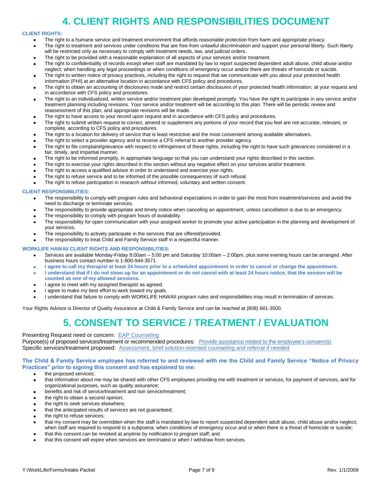## **4. CLIENT RIGHTS AND RESPONSIBILITIES DOCUMENT**

#### **CLIENT RIGHTS:**

- The right to a humane service and treatment environment that affords reasonable protection from harm and appropriate privacy.
- The right to treatment and services under conditions that are free from unlawful discrimination and support your personal liberty. Such liberty will be restricted only as necessary to comply with treatment needs, law, and judicial orders.
- The right to be provided with a reasonable explanation of all aspects of your services and/or treatment.
- The right to confidentiality of records except when staff are mandated by law to report suspected dependent adult abuse, child abuse and/or neglect; when handling any legal proceedings or when conditions of emergency occur and/or there are threats of homicide or suicide.
- The right to written notice of privacy practices, including the right to request that we communicate with you about your protected health information (PHI) at an alternative location in accordance with CFS policy and procedures.
- The right to obtain an accounting of disclosures made and restrict certain disclosures of your protected health information, at your request and in accordance with CFS policy and procedures.
- The right to an individualized, written service and/or treatment plan developed promptly. You have the right to participate in any service and/or treatment planning including revisions. Your service and/or treatment will be according to this plan. There will be periodic review and reassessment of this plan, and appropriate revisions will be made.
- The right to have access to your record upon request and in accordance with CFS policy and procedures.
- The right to submit written request to correct, amend or supplement any portions of your record that you feel are not accurate, relevant, or complete, according to CFS policy and procedures.
- The right to a location for delivery of service that is least restrictive and the most convenient among available alternatives.
- The right to select a provider agency and to receive a CFS referral to another provider agency.
- The right to file complaint/grievance with respect to infringement of these rights, including the right to have such grievances considered in a fair, timely, and impartial manner.
- The right to be informed promptly, in appropriate language so that you can understand your rights described in this section.
- The right to exercise your rights described in this section without any negative effect on your services and/or treatment.
- The right to access a qualified advisor in order to understand and exercise your rights.
- The right to refuse service and to be informed of the possible consequences of such refusal.
- The right to refuse participation in research without informed, voluntary and written consent.

#### **CLIENT RESPONSIBILITIES:**

- The responsibility to comply with program rules and behavioral expectations in order to gain the most from treatment/services and avoid the need to discharge or terminate services.
- The responsibility to provide appropriate and timely notice when canceling an appointment, unless cancellation is due to an emergency.
- The responsibility to comply with program hours of availability.
- The responsibility for open communication with your assigned worker to promote your active participation in the planning and development of your services.
- The responsibility to actively participate in the services that are offered/provided.
- The responsibility to treat Child and Family Service staff in a respectful manner.

#### **WORKLIFE HAWAII CLIENT RIGHTS AND RESPONSIBILITIES:**

- Services are available Monday-Friday 8:00am 5:00 pm and Saturday 10:00am 2:00pm, plus some evening hours can be arranged. After business hours contact number is 1-800-944-3571.
- **I agree to call my therapist at least 24 hours prior to a scheduled appointment in order to cancel or change the appointment.**
- **I understand that if I do not show up for an appointment or do not cancel with at least 24 hours notice, that the session will be**
- **counted as one of my allowed sessions.**
- I agree to meet with my assigned therapist as agreed.
- I agree to make my best effort to work toward my goals.
- I understand that failure to comply with WORKLIFE HAWAII program rules and responsibilities may result in termination of services.

Your Rights Advisor is Director of Quality Assurance at Child & Family Service and can be reached at (808) 681-3500.

# **5. CONSENT TO SERVICE / TREATMENT / EVALUATION**

#### Presenting Request need or concern: EAP Counseling

Purpose(s) of proposed services/treatment or recommended procedures: Provide assistance related to the employee's concern(s) Specific services/treatment proposed: Assessment, brief solution-oriented counseling and referral if needed

#### **The Child & Family Service employee has referred to and reviewed with me the Child and Family Service "Notice of Privacy Practices" prior to signing this consent and has explained to me:**

- the proposed services;
- that information about me may be shared with other CFS employees providing me with treatment or services, for payment of services, and for organizational purposes, such as quality assurance;
- benefits and risk of service/treatment and non service/treatment;
- the right to obtain a second opinion;
- the right to seek services elsewhere;
- that the anticipated results of services are not guaranteed;
- the right to refuse services;
- that my consent may be overridden when the staff is mandated by law to report suspected dependent adult abuse, child abuse and/or neglect; when staff are required to respond to a subpoena; when conditions of emergency occur and or when there is a threat of homicide or suicide;
- that this consent can be revoked at anytime by notification to program staff; and
- that this consent will expire when services are terminated or when I withdraw from services.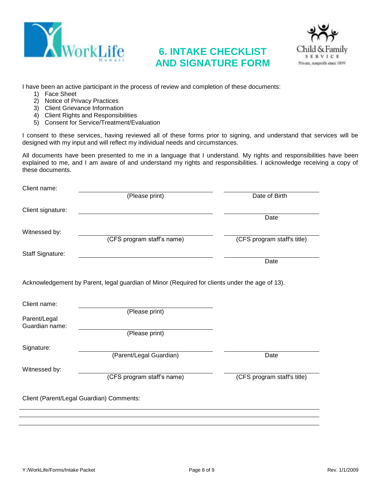

### **6. INTAKE CHECKLIST AND SIGNATURE FORM**



I have been an active participant in the process of review and completion of these documents:

- 1) Face Sheet
- 2) Notice of Privacy Practices
- 3) Client Grievance Information
- 4) Client Rights and Responsibilities
- 5) Consent for Service/Treatment/Evaluation

I consent to these services, having reviewed all of these forms prior to signing, and understand that services will be designed with my input and will reflect my individual needs and circumstances.

All documents have been presented to me in a language that I understand. My rights and responsibilities have been explained to me, and I am aware of and understand my rights and responsibilities. I acknowledge receiving a copy of these documents.

| Client name:                             |                                                                                                |                             |  |  |
|------------------------------------------|------------------------------------------------------------------------------------------------|-----------------------------|--|--|
|                                          | (Please print)                                                                                 | Date of Birth               |  |  |
| Client signature:                        |                                                                                                |                             |  |  |
|                                          |                                                                                                | Date                        |  |  |
| Witnessed by:                            | (CFS program staff's name)                                                                     | (CFS program staff's title) |  |  |
|                                          |                                                                                                |                             |  |  |
| Staff Signature:                         |                                                                                                | Date                        |  |  |
|                                          |                                                                                                |                             |  |  |
|                                          | Acknowledgement by Parent, legal guardian of Minor (Required for clients under the age of 13). |                             |  |  |
|                                          |                                                                                                |                             |  |  |
| Client name:                             |                                                                                                |                             |  |  |
| Parent/Legal                             | (Please print)                                                                                 |                             |  |  |
| Guardian name:                           | (Please print)                                                                                 |                             |  |  |
| Signature:                               |                                                                                                |                             |  |  |
|                                          | (Parent/Legal Guardian)                                                                        | Date                        |  |  |
| Witnessed by:                            |                                                                                                |                             |  |  |
|                                          | (CFS program staff's name)                                                                     | (CFS program staff's title) |  |  |
|                                          |                                                                                                |                             |  |  |
| Client (Parent/Legal Guardian) Comments: |                                                                                                |                             |  |  |
|                                          |                                                                                                |                             |  |  |
|                                          |                                                                                                |                             |  |  |